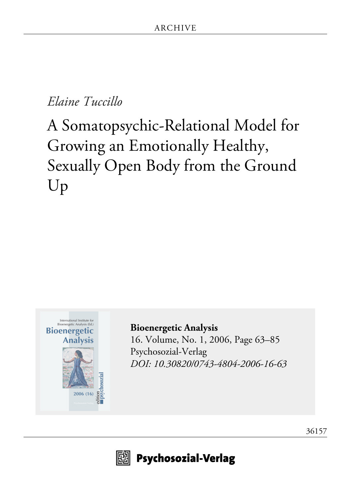# *Elaine Tuccillo*

# A Somatopsychic-Relational Model for Growing an Emotionally Healthy, Sexually Open Body from the Ground Up



**[Bioenergetic Analysis](http://www.psychosozial-verlag.de/517)** [16. Volume, No. 1, 2006, Page 63–85](http://www.psychosozial-verlag.de/517) [Psychosozial-Verlag](http://www.psychosozial-verlag.de/517) *[DOI: 10.30820/0743-4804-2006-16-63](https://doi.org/10.30820/0743-4804-2006-16-63)*



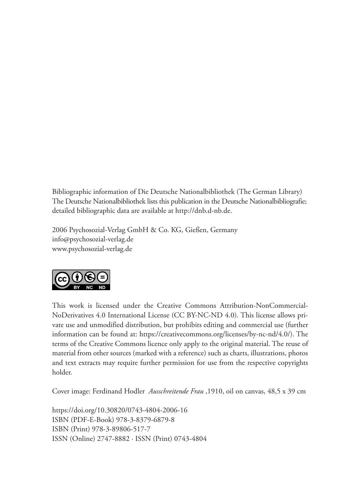Bibliographic information of Die Deutsche Nationalbibliothek (The German Library) The Deutsche Nationalbibliothek lists this publication in the Deutsche Nationalbibliografie; detailed bibliographic data are available at http://dnb.d-nb.de.

2006 Psychosozial-Verlag GmbH & Co. KG, Gießen, Germany info@psychosozial-verlag.de www.psychosozial-verlag.de



This work is licensed under the Creative Commons Attribution-NonCommercial-NoDerivatives 4.0 International License (CC BY-NC-ND 4.0). This license allows private use and unmodified distribution, but prohibits editing and commercial use (further information can be found at: https://creativecommons.org/licenses/by-nc-nd/4.0/). The terms of the Creative Commons licence only apply to the original material. The reuse of material from other sources (marked with a reference) such as charts, illustrations, photos and text extracts may require further permission for use from the respective copyrights holder.

Cover image: Ferdinand Hodler *Ausschreitende Frau* ,1910, oil on canvas, 48,5 x 39 cm

https://doi.org/10.30820/0743-4804-2006-16 ISBN (PDF-E-Book) 978-3-8379-6879-8 ISBN (Print) 978-3-89806-517-7 ISSN (Online) 2747-8882 · ISSN (Print) 0743-4804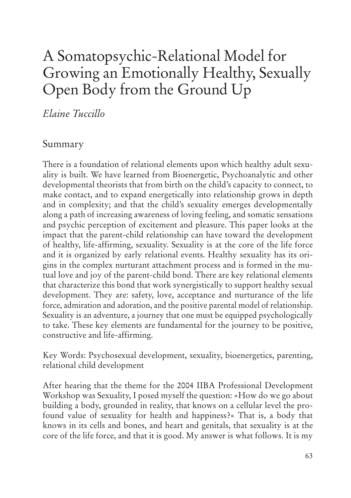# A Somatopsychic-Relational Model for Growing an Emotionally Healthy, Sexually Open Body from the Ground Up

*Elaine Tuccillo*

## Summary

There is a foundation of relational elements upon which healthy adult sexuality is built. We have learned from Bioenergetic, Psychoanalytic and other developmental theorists that from birth on the child's capacity to connect, to make contact, and to expand energetically into relationship grows in depth and in complexity; and that the child's sexuality emerges developmentally along a path of increasing awareness of loving feeling, and somatic sensations and psychic perception of excitement and pleasure. This paper looks at the impact that the parent-child relationship can have toward the development of healthy, life-affirming, sexuality. Sexuality is at the core of the life force and it is organized by early relational events. Healthy sexuality has its origins in the complex nurturant attachment process and is formed in the mutual love and joy of the parent-child bond. There are key relational elements that characterize this bond that work synergistically to support healthy sexual development. They are: safety, love, acceptance and nurturance of the life force, admiration and adoration, and the positive parental model of relationship. Sexuality is an adventure, a journey that one must be equipped psychologically to take. These key elements are fundamental for the journey to be positive, constructive and life-affirming.

Key Words: Psychosexual development, sexuality, bioenergetics, parenting, relational child development

After hearing that the theme for the 2004 IIBA Professional Development Workshop was Sexuality, I posed myself the question: »How do we go about building a body, grounded in reality, that knows on a cellular level the profound value of sexuality for health and happiness?« That is, a body that knows in its cells and bones, and heart and genitals, that sexuality is at the core of the life force, and that it is good. My answer is what follows. It is my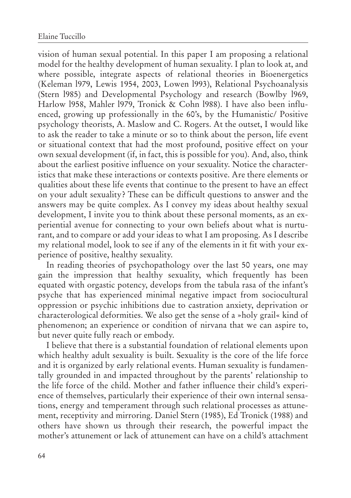vision of human sexual potential. In this paper I am proposing a relational model for the healthy development of human sexuality. I plan to look at, and where possible, integrate aspects of relational theories in Bioenergetics (Keleman l979, Lewis 1954, 2003, Lowen l993), Relational Psychoanalysis (Stern l985) and Developmental Psychology and research (Bowlby l969, Harlow l958, Mahler l979, Tronick & Cohn l988). I have also been influenced, growing up professionally in the 60's, by the Humanistic/ Positive psychology theorists, A. Maslow and C. Rogers. At the outset, I would like to ask the reader to take a minute or so to think about the person, life event or situational context that had the most profound, positive effect on your own sexual development (if, in fact, this is possible for you). And, also, think about the earliest positive influence on your sexuality. Notice the characteristics that make these interactions or contexts positive. Are there elements or qualities about these life events that continue to the present to have an effect on your adult sexuality? These can be difficult questions to answer and the answers may be quite complex. As I convey my ideas about healthy sexual development, I invite you to think about these personal moments, as an experiential avenue for connecting to your own beliefs about what is nurturant, and to compare or add your ideas to what I am proposing. As I describe my relational model, look to see if any of the elements in it fit with your experience of positive, healthy sexuality.

In reading theories of psychopathology over the last 50 years, one may gain the impression that healthy sexuality, which frequently has been equated with orgastic potency, develops from the tabula rasa of the infant's psyche that has experienced minimal negative impact from sociocultural oppression or psychic inhibitions due to castration anxiety, deprivation or characterological deformities. We also get the sense of a »holy grail« kind of phenomenon; an experience or condition of nirvana that we can aspire to, but never quite fully reach or embody.

I believe that there is a substantial foundation of relational elements upon which healthy adult sexuality is built. Sexuality is the core of the life force and it is organized by early relational events. Human sexuality is fundamentally grounded in and impacted throughout by the parents' relationship to the life force of the child. Mother and father influence their child's experience of themselves, particularly their experience of their own internal sensations, energy and temperament through such relational processes as attunement, receptivity and mirroring. Daniel Stern (1985), Ed Tronick (1988) and others have shown us through their research, the powerful impact the mother's attunement or lack of attunement can have on a child's attachment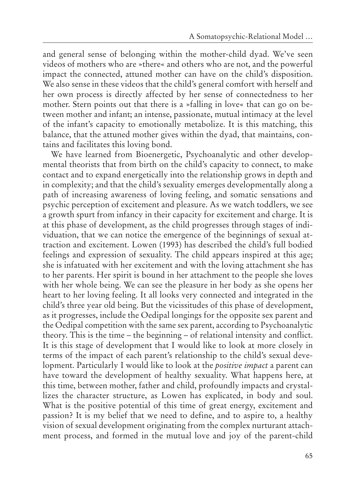and general sense of belonging within the mother-child dyad. We've seen videos of mothers who are »there« and others who are not, and the powerful impact the connected, attuned mother can have on the child's disposition. We also sense in these videos that the child's general comfort with herself and her own process is directly affected by her sense of connectedness to her mother. Stern points out that there is a »falling in love« that can go on between mother and infant; an intense, passionate, mutual intimacy at the level of the infant's capacity to emotionally metabolize. It is this matching, this balance, that the attuned mother gives within the dyad, that maintains, contains and facilitates this loving bond.

We have learned from Bioenergetic, Psychoanalytic and other developmental theorists that from birth on the child's capacity to connect, to make contact and to expand energetically into the relationship grows in depth and in complexity; and that the child's sexuality emerges developmentally along a path of increasing awareness of loving feeling, and somatic sensations and psychic perception of excitement and pleasure. As we watch toddlers, we see a growth spurt from infancy in their capacity for excitement and charge. It is at this phase of development, as the child progresses through stages of individuation, that we can notice the emergence of the beginnings of sexual attraction and excitement. Lowen (1993) has described the child's full bodied feelings and expression of sexuality. The child appears inspired at this age; she is infatuated with her excitement and with the loving attachment she has to her parents. Her spirit is bound in her attachment to the people she loves with her whole being. We can see the pleasure in her body as she opens her heart to her loving feeling. It all looks very connected and integrated in the child's three year old being. But the vicissitudes of this phase of development, as it progresses, include the Oedipal longings for the opposite sex parent and the Oedipal competition with the same sex parent, according to Psychoanalytic theory. This is the time – the beginning – of relational intensity and conflict. It is this stage of development that I would like to look at more closely in terms of the impact of each parent's relationship to the child's sexual development. Particularly I would like to look at the *positive impact* a parent can have toward the development of healthy sexuality. What happens here, at this time, between mother, father and child, profoundly impacts and crystallizes the character structure, as Lowen has explicated, in body and soul. What is the positive potential of this time of great energy, excitement and passion? It is my belief that we need to define, and to aspire to, a healthy vision of sexual development originating from the complex nurturant attachment process, and formed in the mutual love and joy of the parent-child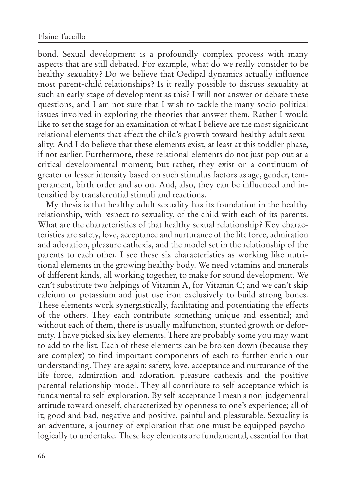bond. Sexual development is a profoundly complex process with many aspects that are still debated. For example, what do we really consider to be healthy sexuality? Do we believe that Oedipal dynamics actually influence most parent-child relationships? Is it really possible to discuss sexuality at such an early stage of development as this? I will not answer or debate these questions, and I am not sure that I wish to tackle the many socio-political issues involved in exploring the theories that answer them. Rather I would like to set the stage for an examination of what I believe are the most significant relational elements that affect the child's growth toward healthy adult sexuality. And I do believe that these elements exist, at least at this toddler phase, if not earlier. Furthermore, these relational elements do not just pop out at a critical developmental moment; but rather, they exist on a continuum of greater or lesser intensity based on such stimulus factors as age, gender, temperament, birth order and so on. And, also, they can be influenced and intensified by transferential stimuli and reactions.

My thesis is that healthy adult sexuality has its foundation in the healthy relationship, with respect to sexuality, of the child with each of its parents. What are the characteristics of that healthy sexual relationship? Key characteristics are safety, love, acceptance and nurturance of the life force, admiration and adoration, pleasure cathexis, and the model set in the relationship of the parents to each other. I see these six characteristics as working like nutritional elements in the growing healthy body. We need vitamins and minerals of different kinds, all working together, to make for sound development. We can't substitute two helpings of Vitamin A, for Vitamin C; and we can't skip calcium or potassium and just use iron exclusively to build strong bones. These elements work synergistically, facilitating and potentiating the effects of the others. They each contribute something unique and essential; and without each of them, there is usually malfunction, stunted growth or deformity. I have picked six key elements. There are probably some you may want to add to the list. Each of these elements can be broken down (because they are complex) to find important components of each to further enrich our understanding. They are again: safety, love, acceptance and nurturance of the life force, admiration and adoration, pleasure cathexis and the positive parental relationship model. They all contribute to self-acceptance which is fundamental to self-exploration. By self-acceptance I mean a non-judgemental attitude toward oneself, characterized by openness to one's experience; all of it; good and bad, negative and positive, painful and pleasurable. Sexuality is an adventure, a journey of exploration that one must be equipped psychologically to undertake. These key elements are fundamental, essential for that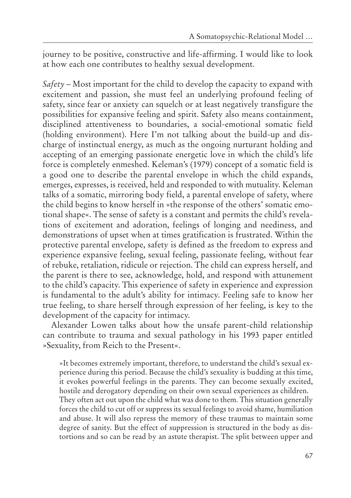journey to be positive, constructive and life-affirming. I would like to look at how each one contributes to healthy sexual development.

*Safety* – Most important for the child to develop the capacity to expand with excitement and passion, she must feel an underlying profound feeling of safety, since fear or anxiety can squelch or at least negatively transfigure the possibilities for expansive feeling and spirit. Safety also means containment, disciplined attentiveness to boundaries, a social-emotional somatic field (holding environment). Here I'm not talking about the build-up and discharge of instinctual energy, as much as the ongoing nurturant holding and accepting of an emerging passionate energetic love in which the child's life force is completely enmeshed. Keleman's (1979) concept of a somatic field is a good one to describe the parental envelope in which the child expands, emerges, expresses, is received, held and responded to with mutuality. Keleman talks of a somatic, mirroring body field, a parental envelope of safety, where the child begins to know herself in »the response of the others' somatic emotional shape«. The sense of safety is a constant and permits the child's revelations of excitement and adoration, feelings of longing and neediness, and demonstrations of upset when at times gratification is frustrated. Within the protective parental envelope, safety is defined as the freedom to express and experience expansive feeling, sexual feeling, passionate feeling, without fear of rebuke, retaliation, ridicule or rejection. The child can express herself, and the parent is there to see, acknowledge, hold, and respond with attunement to the child's capacity. This experience of safety in experience and expression is fundamental to the adult's ability for intimacy. Feeling safe to know her true feeling, to share herself through expression of her feeling, is key to the development of the capacity for intimacy.

Alexander Lowen talks about how the unsafe parent-child relationship can contribute to trauma and sexual pathology in his 1993 paper entitled »Sexuality, from Reich to the Present«.

»It becomes extremely important, therefore, to understand the child's sexual experience during this period. Because the child's sexuality is budding at this time, it evokes powerful feelings in the parents. They can become sexually excited, hostile and derogatory depending on their own sexual experiences as children. They often act out upon the child what was done to them. This situation generally forces the child to cut off or suppress its sexual feelings to avoid shame, humiliation and abuse. It will also repress the memory of these traumas to maintain some degree of sanity. But the effect of suppression is structured in the body as distortions and so can be read by an astute therapist. The split between upper and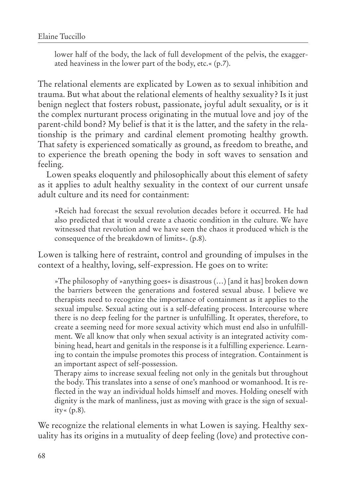lower half of the body, the lack of full development of the pelvis, the exaggerated heaviness in the lower part of the body, etc.« (p.7).

The relational elements are explicated by Lowen as to sexual inhibition and trauma. But what about the relational elements of healthy sexuality? Is it just benign neglect that fosters robust, passionate, joyful adult sexuality, or is it the complex nurturant process originating in the mutual love and joy of the parent-child bond? My belief is that it is the latter, and the safety in the relationship is the primary and cardinal element promoting healthy growth. That safety is experienced somatically as ground, as freedom to breathe, and to experience the breath opening the body in soft waves to sensation and feeling.

Lowen speaks eloquently and philosophically about this element of safety as it applies to adult healthy sexuality in the context of our current unsafe adult culture and its need for containment:

»Reich had forecast the sexual revolution decades before it occurred. He had also predicted that it would create a chaotic condition in the culture. We have witnessed that revolution and we have seen the chaos it produced which is the consequence of the breakdown of limits«. (p.8).

Lowen is talking here of restraint, control and grounding of impulses in the context of a healthy, loving, self-expression. He goes on to write:

»The philosophy of »anything goes« is disastrous (…) [and it has] broken down the barriers between the generations and fostered sexual abuse. I believe we therapists need to recognize the importance of containment as it applies to the sexual impulse. Sexual acting out is a self-defeating process. Intercourse where there is no deep feeling for the partner is unfulfilling. It operates, therefore, to create a seeming need for more sexual activity which must end also in unfulfillment. We all know that only when sexual activity is an integrated activity combining head, heart and genitals in the response is it a fulfilling experience. Learning to contain the impulse promotes this process of integration. Containment is an important aspect of self-possession.

Therapy aims to increase sexual feeling not only in the genitals but throughout the body. This translates into a sense of one's manhood or womanhood. It is reflected in the way an individual holds himself and moves. Holding oneself with dignity is the mark of manliness, just as moving with grace is the sign of sexuality«  $(p.8)$ .

We recognize the relational elements in what Lowen is saying. Healthy sexuality has its origins in a mutuality of deep feeling (love) and protective con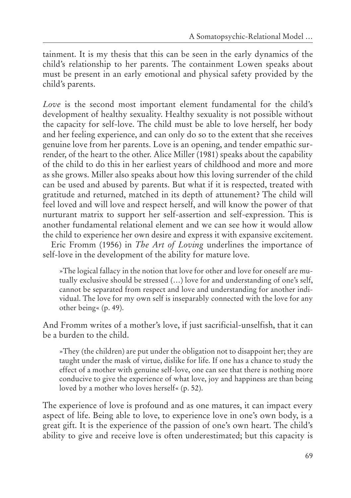tainment. It is my thesis that this can be seen in the early dynamics of the child's relationship to her parents. The containment Lowen speaks about must be present in an early emotional and physical safety provided by the child's parents.

*Love* is the second most important element fundamental for the child's development of healthy sexuality. Healthy sexuality is not possible without the capacity for self-love. The child must be able to love herself, her body and her feeling experience, and can only do so to the extent that she receives genuine love from her parents. Love is an opening, and tender empathic surrender, of the heart to the other. Alice Miller (1981) speaks about the capability of the child to do this in her earliest years of childhood and more and more as she grows. Miller also speaks about how this loving surrender of the child can be used and abused by parents. But what if it is respected, treated with gratitude and returned, matched in its depth of attunement? The child will feel loved and will love and respect herself, and will know the power of that nurturant matrix to support her self-assertion and self-expression. This is another fundamental relational element and we can see how it would allow the child to experience her own desire and express it with expansive excitement.

Eric Fromm (1956) in *The Art of Loving* underlines the importance of self-love in the development of the ability for mature love.

»The logical fallacy in the notion that love for other and love for oneself are mutually exclusive should be stressed (…) love for and understanding of one's self, cannot be separated from respect and love and understanding for another individual. The love for my own self is inseparably connected with the love for any other being« (p. 49).

And Fromm writes of a mother's love, if just sacrificial-unselfish, that it can be a burden to the child.

»They (the children) are put under the obligation not to disappoint her; they are taught under the mask of virtue, dislike for life. If one has a chance to study the effect of a mother with genuine self-love, one can see that there is nothing more conducive to give the experience of what love, joy and happiness are than being loved by a mother who loves herself« (p. 52).

The experience of love is profound and as one matures, it can impact every aspect of life. Being able to love, to experience love in one's own body, is a great gift. It is the experience of the passion of one's own heart. The child's ability to give and receive love is often underestimated; but this capacity is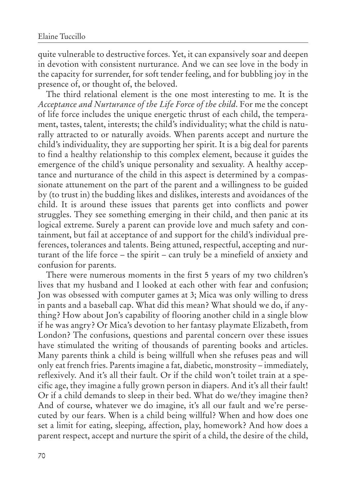quite vulnerable to destructive forces. Yet, it can expansively soar and deepen in devotion with consistent nurturance. And we can see love in the body in the capacity for surrender, for soft tender feeling, and for bubbling joy in the presence of, or thought of, the beloved.

The third relational element is the one most interesting to me. It is the *Acceptance and Nurturance of the Life Force of the child*. For me the concept of life force includes the unique energetic thrust of each child, the temperament, tastes, talent, interests; the child's individuality; what the child is naturally attracted to or naturally avoids. When parents accept and nurture the child's individuality, they are supporting her spirit. It is a big deal for parents to find a healthy relationship to this complex element, because it guides the emergence of the child's unique personality and sexuality. A healthy acceptance and nurturance of the child in this aspect is determined by a compassionate attunement on the part of the parent and a willingness to be guided by (to trust in) the budding likes and dislikes, interests and avoidances of the child. It is around these issues that parents get into conflicts and power struggles. They see something emerging in their child, and then panic at its logical extreme. Surely a parent can provide love and much safety and containment, but fail at acceptance of and support for the child's individual preferences, tolerances and talents. Being attuned, respectful, accepting and nurturant of the life force – the spirit – can truly be a minefield of anxiety and confusion for parents.

There were numerous moments in the first 5 years of my two children's lives that my husband and I looked at each other with fear and confusion; Jon was obsessed with computer games at 3; Mica was only willing to dress in pants and a baseball cap. What did this mean? What should we do, if anything? How about Jon's capability of flooring another child in a single blow if he was angry? Or Mica's devotion to her fantasy playmate Elizabeth, from London? The confusions, questions and parental concern over these issues have stimulated the writing of thousands of parenting books and articles. Many parents think a child is being willfull when she refuses peas and will only eat french fries. Parents imagine a fat, diabetic, monstrosity – immediately, reflexively. And it's all their fault. Or if the child won't toilet train at a specific age, they imagine a fully grown person in diapers. And it's all their fault! Or if a child demands to sleep in their bed. What do we/they imagine then? And of course, whatever we do imagine, it's all our fault and we're persecuted by our fears. When is a child being willful? When and how does one set a limit for eating, sleeping, affection, play, homework? And how does a parent respect, accept and nurture the spirit of a child, the desire of the child,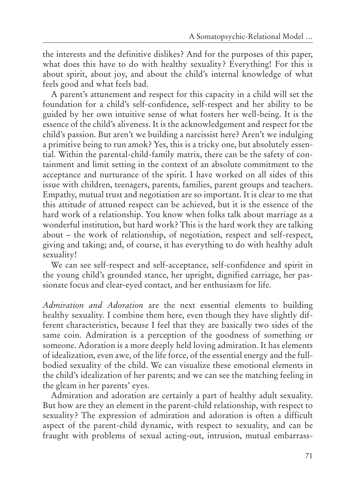the interests and the definitive dislikes? And for the purposes of this paper, what does this have to do with healthy sexuality? Everything! For this is about spirit, about joy, and about the child's internal knowledge of what feels good and what feels bad.

A parent's attunement and respect for this capacity in a child will set the foundation for a child's self-confidence, self-respect and her ability to be guided by her own intuitive sense of what fosters her well-being. It is the essence of the child's aliveness. It is the acknowledgement and respect for the child's passion. But aren't we building a narcissist here? Aren't we indulging a primitive being to run amok? Yes, this is a tricky one, but absolutely essential. Within the parental-child-family matrix, there can be the safety of containment and limit setting in the context of an absolute commitment to the acceptance and nurturance of the spirit. I have worked on all sides of this issue with children, teenagers, parents, families, parent groups and teachers. Empathy, mutual trust and negotiation are so important. It is clear to me that this attitude of attuned respect can be achieved, but it is the essence of the hard work of a relationship. You know when folks talk about marriage as a wonderful institution, but hard work? This is the hard work they are talking about – the work of relationship, of negotiation, respect and self-respect, giving and taking; and, of course, it has everything to do with healthy adult sexuality!

We can see self-respect and self-acceptance, self-confidence and spirit in the young child's grounded stance, her upright, dignified carriage, her passionate focus and clear-eyed contact, and her enthusiasm for life.

*Admiration and Adoration* are the next essential elements to building healthy sexuality. I combine them here, even though they have slightly different characteristics, because I feel that they are basically two sides of the same coin. Admiration is a perception of the goodness of something or someone. Adoration is a more deeply held loving admiration. It has elements of idealization, even awe, of the life force, of the essential energy and the fullbodied sexuality of the child. We can visualize these emotional elements in the child's idealization of her parents; and we can see the matching feeling in the gleam in her parents' eyes.

Admiration and adoration are certainly a part of healthy adult sexuality. But how are they an element in the parent-child relationship, with respect to sexuality? The expression of admiration and adoration is often a difficult aspect of the parent-child dynamic, with respect to sexuality, and can be fraught with problems of sexual acting-out, intrusion, mutual embarrass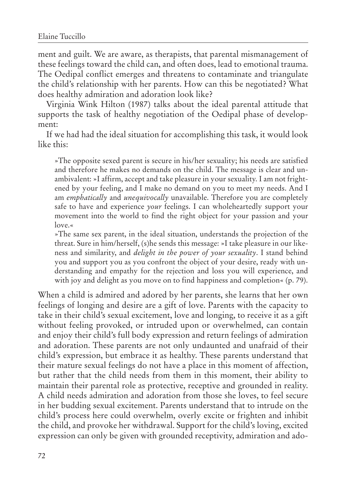ment and guilt. We are aware, as therapists, that parental mismanagement of these feelings toward the child can, and often does, lead to emotional trauma. The Oedipal conflict emerges and threatens to contaminate and triangulate the child's relationship with her parents. How can this be negotiated? What does healthy admiration and adoration look like?

Virginia Wink Hilton (1987) talks about the ideal parental attitude that supports the task of healthy negotiation of the Oedipal phase of development:

If we had had the ideal situation for accomplishing this task, it would look like this:

»The opposite sexed parent is secure in his/her sexuality; his needs are satisfied and therefore he makes no demands on the child. The message is clear and unambivalent: »I affirm, accept and take pleasure in your sexuality. I am not frightened by your feeling, and I make no demand on you to meet my needs. And I am *emphatically* and *unequivocally* unavailable. Therefore you are completely safe to have and experience *your* feelings. I can wholeheartedly support your movement into the world to find the right object for your passion and your love.«

»The same sex parent, in the ideal situation, understands the projection of the threat. Sure in him/herself, (s)he sends this message: »I take pleasure in our likeness and similarity, and *delight in the power of your sexuality*. I stand behind you and support you as you confront the object of your desire, ready with understanding and empathy for the rejection and loss you will experience, and with joy and delight as you move on to find happiness and completion« (p. 79).

When a child is admired and adored by her parents, she learns that her own feelings of longing and desire are a gift of love. Parents with the capacity to take in their child's sexual excitement, love and longing, to receive it as a gift without feeling provoked, or intruded upon or overwhelmed, can contain and enjoy their child's full body expression and return feelings of admiration and adoration. These parents are not only undaunted and unafraid of their child's expression, but embrace it as healthy. These parents understand that their mature sexual feelings do not have a place in this moment of affection, but rather that the child needs from them in this moment, their ability to maintain their parental role as protective, receptive and grounded in reality. A child needs admiration and adoration from those she loves, to feel secure in her budding sexual excitement. Parents understand that to intrude on the child's process here could overwhelm, overly excite or frighten and inhibit the child, and provoke her withdrawal. Support for the child's loving, excited expression can only be given with grounded receptivity, admiration and ado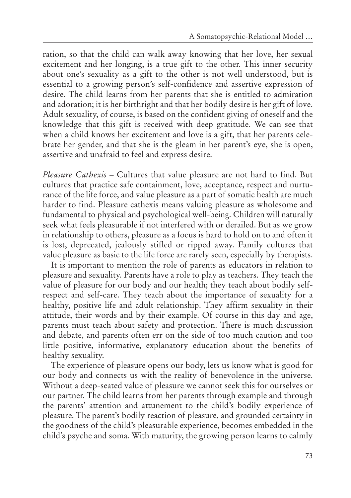ration, so that the child can walk away knowing that her love, her sexual excitement and her longing, is a true gift to the other. This inner security about one's sexuality as a gift to the other is not well understood, but is essential to a growing person's self-confidence and assertive expression of desire. The child learns from her parents that she is entitled to admiration and adoration; it is her birthright and that her bodily desire is her gift of love. Adult sexuality, of course, is based on the confident giving of oneself and the knowledge that this gift is received with deep gratitude. We can see that when a child knows her excitement and love is a gift, that her parents celebrate her gender, and that she is the gleam in her parent's eye, she is open, assertive and unafraid to feel and express desire.

*Pleasure Cathexis* – Cultures that value pleasure are not hard to find. But cultures that practice safe containment, love, acceptance, respect and nurturance of the life force, and value pleasure as a part of somatic health are much harder to find. Pleasure cathexis means valuing pleasure as wholesome and fundamental to physical and psychological well-being. Children will naturally seek what feels pleasurable if not interfered with or derailed. But as we grow in relationship to others, pleasure as a focus is hard to hold on to and often it is lost, deprecated, jealously stifled or ripped away. Family cultures that value pleasure as basic to the life force are rarely seen, especially by therapists.

It is important to mention the role of parents as educators in relation to pleasure and sexuality. Parents have a role to play as teachers. They teach the value of pleasure for our body and our health; they teach about bodily selfrespect and self-care. They teach about the importance of sexuality for a healthy, positive life and adult relationship. They affirm sexuality in their attitude, their words and by their example. Of course in this day and age, parents must teach about safety and protection. There is much discussion and debate, and parents often err on the side of too much caution and too little positive, informative, explanatory education about the benefits of healthy sexuality.

The experience of pleasure opens our body, lets us know what is good for our body and connects us with the reality of benevolence in the universe. Without a deep-seated value of pleasure we cannot seek this for ourselves or our partner. The child learns from her parents through example and through the parents' attention and attunement to the child's bodily experience of pleasure. The parent's bodily reaction of pleasure, and grounded certainty in the goodness of the child's pleasurable experience, becomes embedded in the child's psyche and soma. With maturity, the growing person learns to calmly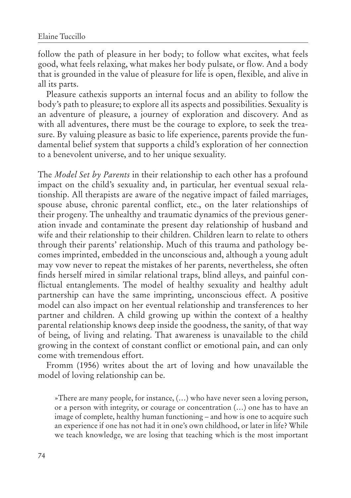follow the path of pleasure in her body; to follow what excites, what feels good, what feels relaxing, what makes her body pulsate, or flow. And a body that is grounded in the value of pleasure for life is open, flexible, and alive in all its parts.

Pleasure cathexis supports an internal focus and an ability to follow the body's path to pleasure; to explore all its aspects and possibilities. Sexuality is an adventure of pleasure, a journey of exploration and discovery. And as with all adventures, there must be the courage to explore, to seek the treasure. By valuing pleasure as basic to life experience, parents provide the fundamental belief system that supports a child's exploration of her connection to a benevolent universe, and to her unique sexuality.

The *Model Set by Parents* in their relationship to each other has a profound impact on the child's sexuality and, in particular, her eventual sexual relationship. All therapists are aware of the negative impact of failed marriages, spouse abuse, chronic parental conflict, etc., on the later relationships of their progeny. The unhealthy and traumatic dynamics of the previous generation invade and contaminate the present day relationship of husband and wife and their relationship to their children. Children learn to relate to others through their parents' relationship. Much of this trauma and pathology becomes imprinted, embedded in the unconscious and, although a young adult may vow never to repeat the mistakes of her parents, nevertheless, she often finds herself mired in similar relational traps, blind alleys, and painful conflictual entanglements. The model of healthy sexuality and healthy adult partnership can have the same imprinting, unconscious effect. A positive model can also impact on her eventual relationship and transferences to her partner and children. A child growing up within the context of a healthy parental relationship knows deep inside the goodness, the sanity, of that way of being, of living and relating. That awareness is unavailable to the child growing in the context of constant conflict or emotional pain, and can only come with tremendous effort.

Fromm (1956) writes about the art of loving and how unavailable the model of loving relationship can be.

»There are many people, for instance, (…) who have never seen a loving person, or a person with integrity, or courage or concentration (…) one has to have an image of complete, healthy human functioning – and how is one to acquire such an experience if one has not had it in one's own childhood, or later in life? While we teach knowledge, we are losing that teaching which is the most important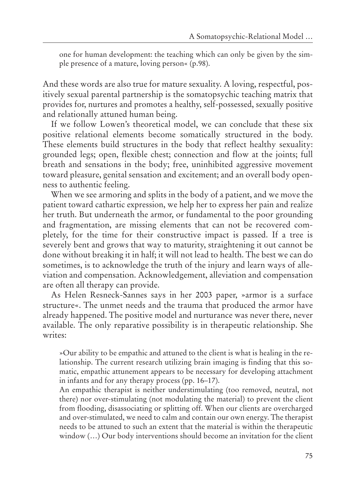one for human development: the teaching which can only be given by the simple presence of a mature, loving person« (p.98).

And these words are also true for mature sexuality. A loving, respectful, positively sexual parental partnership is the somatopsychic teaching matrix that provides for, nurtures and promotes a healthy, self-possessed, sexually positive and relationally attuned human being.

If we follow Lowen's theoretical model, we can conclude that these six positive relational elements become somatically structured in the body. These elements build structures in the body that reflect healthy sexuality: grounded legs; open, flexible chest; connection and flow at the joints; full breath and sensations in the body; free, uninhibited aggressive movement toward pleasure, genital sensation and excitement; and an overall body openness to authentic feeling.

When we see armoring and splits in the body of a patient, and we move the patient toward cathartic expression, we help her to express her pain and realize her truth. But underneath the armor, or fundamental to the poor grounding and fragmentation, are missing elements that can not be recovered completely, for the time for their constructive impact is passed. If a tree is severely bent and grows that way to maturity, straightening it out cannot be done without breaking it in half; it will not lead to health. The best we can do sometimes, is to acknowledge the truth of the injury and learn ways of alleviation and compensation. Acknowledgement, alleviation and compensation are often all therapy can provide.

As Helen Resneck-Sannes says in her 2003 paper, »armor is a surface structure«. The unmet needs and the trauma that produced the armor have already happened. The positive model and nurturance was never there, never available. The only reparative possibility is in therapeutic relationship. She writes:

»Our ability to be empathic and attuned to the client is what is healing in the relationship. The current research utilizing brain imaging is finding that this somatic, empathic attunement appears to be necessary for developing attachment in infants and for any therapy process (pp. 16–17).

An empathic therapist is neither understimulating (too removed, neutral, not there) nor over-stimulating (not modulating the material) to prevent the client from flooding, disassociating or splitting off. When our clients are overcharged and over-stimulated, we need to calm and contain our own energy. The therapist needs to be attuned to such an extent that the material is within the therapeutic window (…) Our body interventions should become an invitation for the client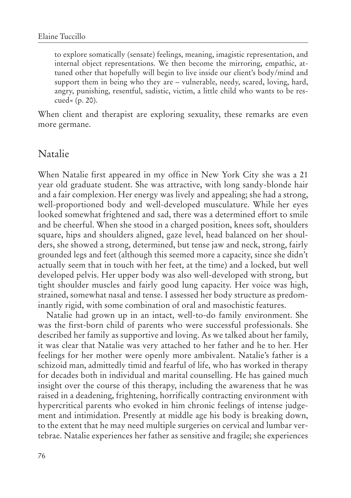to explore somatically (sensate) feelings, meaning, imagistic representation, and internal object representations. We then become the mirroring, empathic, attuned other that hopefully will begin to live inside our client's body/mind and support them in being who they are – vulnerable, needy, scared, loving, hard, angry, punishing, resentful, sadistic, victim, a little child who wants to be rescued« (p. 20).

When client and therapist are exploring sexuality, these remarks are even more germane.

#### Natalie

When Natalie first appeared in my office in New York City she was a 21 year old graduate student. She was attractive, with long sandy-blonde hair and a fair complexion. Her energy was lively and appealing; she had a strong, well-proportioned body and well-developed musculature. While her eyes looked somewhat frightened and sad, there was a determined effort to smile and be cheerful. When she stood in a charged position, knees soft, shoulders square, hips and shoulders aligned, gaze level, head balanced on her shoulders, she showed a strong, determined, but tense jaw and neck, strong, fairly grounded legs and feet (although this seemed more a capacity, since she didn't actually seem that in touch with her feet, at the time) and a locked, but well developed pelvis. Her upper body was also well-developed with strong, but tight shoulder muscles and fairly good lung capacity. Her voice was high, strained, somewhat nasal and tense. I assessed her body structure as predominantly rigid, with some combination of oral and masochistic features.

Natalie had grown up in an intact, well-to-do family environment. She was the first-born child of parents who were successful professionals. She described her family as supportive and loving. As we talked about her family, it was clear that Natalie was very attached to her father and he to her. Her feelings for her mother were openly more ambivalent. Natalie's father is a schizoid man, admittedly timid and fearful of life, who has worked in therapy for decades both in individual and marital counselling. He has gained much insight over the course of this therapy, including the awareness that he was raised in a deadening, frightening, horrifically contracting environment with hypercritical parents who evoked in him chronic feelings of intense judgement and intimidation. Presently at middle age his body is breaking down, to the extent that he may need multiple surgeries on cervical and lumbar vertebrae. Natalie experiences her father as sensitive and fragile; she experiences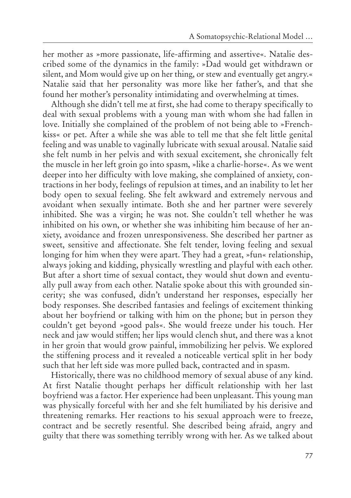her mother as »more passionate, life-affirming and assertive«. Natalie described some of the dynamics in the family: »Dad would get withdrawn or silent, and Mom would give up on her thing, or stew and eventually get angry.« Natalie said that her personality was more like her father's, and that she found her mother's personality intimidating and overwhelming at times.

Although she didn't tell me at first, she had come to therapy specifically to deal with sexual problems with a young man with whom she had fallen in love. Initially she complained of the problem of not being able to »Frenchkiss« or pet. After a while she was able to tell me that she felt little genital feeling and was unable to vaginally lubricate with sexual arousal. Natalie said she felt numb in her pelvis and with sexual excitement, she chronically felt the muscle in her left groin go into spasm, »like a charlie-horse«. As we went deeper into her difficulty with love making, she complained of anxiety, contractions in her body, feelings of repulsion at times, and an inability to let her body open to sexual feeling. She felt awkward and extremely nervous and avoidant when sexually intimate. Both she and her partner were severely inhibited. She was a virgin; he was not. She couldn't tell whether he was inhibited on his own, or whether she was inhibiting him because of her anxiety, avoidance and frozen unresponsiveness. She described her partner as sweet, sensitive and affectionate. She felt tender, loving feeling and sexual longing for him when they were apart. They had a great, »fun« relationship, always joking and kidding, physically wrestling and playful with each other. But after a short time of sexual contact, they would shut down and eventually pull away from each other. Natalie spoke about this with grounded sincerity; she was confused, didn't understand her responses, especially her body responses. She described fantasies and feelings of excitement thinking about her boyfriend or talking with him on the phone; but in person they couldn't get beyond »good pals«. She would freeze under his touch. Her neck and jaw would stiffen; her lips would clench shut, and there was a knot in her groin that would grow painful, immobilizing her pelvis. We explored the stiffening process and it revealed a noticeable vertical split in her body such that her left side was more pulled back, contracted and in spasm.

Historically, there was no childhood memory of sexual abuse of any kind. At first Natalie thought perhaps her difficult relationship with her last boyfriend was a factor. Her experience had been unpleasant. This young man was physically forceful with her and she felt humiliated by his derisive and threatening remarks. Her reactions to his sexual approach were to freeze, contract and be secretly resentful. She described being afraid, angry and guilty that there was something terribly wrong with her. As we talked about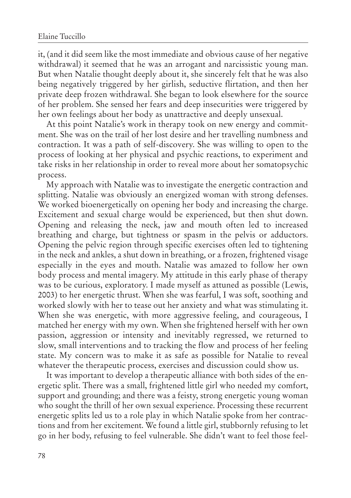it, (and it did seem like the most immediate and obvious cause of her negative withdrawal) it seemed that he was an arrogant and narcissistic young man. But when Natalie thought deeply about it, she sincerely felt that he was also being negatively triggered by her girlish, seductive flirtation, and then her private deep frozen withdrawal. She began to look elsewhere for the source of her problem. She sensed her fears and deep insecurities were triggered by her own feelings about her body as unattractive and deeply unsexual.

At this point Natalie's work in therapy took on new energy and commitment. She was on the trail of her lost desire and her travelling numbness and contraction. It was a path of self-discovery. She was willing to open to the process of looking at her physical and psychic reactions, to experiment and take risks in her relationship in order to reveal more about her somatopsychic process.

My approach with Natalie was to investigate the energetic contraction and splitting. Natalie was obviously an energized woman with strong defenses. We worked bioenergetically on opening her body and increasing the charge. Excitement and sexual charge would be experienced, but then shut down. Opening and releasing the neck, jaw and mouth often led to increased breathing and charge, but tightness or spasm in the pelvis or adductors. Opening the pelvic region through specific exercises often led to tightening in the neck and ankles, a shut down in breathing, or a frozen, frightened visage especially in the eyes and mouth. Natalie was amazed to follow her own body process and mental imagery. My attitude in this early phase of therapy was to be curious, exploratory. I made myself as attuned as possible (Lewis, 2003) to her energetic thrust. When she was fearful, I was soft, soothing and worked slowly with her to tease out her anxiety and what was stimulating it. When she was energetic, with more aggressive feeling, and courageous, I matched her energy with my own. When she frightened herself with her own passion, aggression or intensity and inevitably regressed, we returned to slow, small interventions and to tracking the flow and process of her feeling state. My concern was to make it as safe as possible for Natalie to reveal whatever the therapeutic process, exercises and discussion could show us.

It was important to develop a therapeutic alliance with both sides of the energetic split. There was a small, frightened little girl who needed my comfort, support and grounding; and there was a feisty, strong energetic young woman who sought the thrill of her own sexual experience. Processing these recurrent energetic splits led us to a role play in which Natalie spoke from her contractions and from her excitement. We found a little girl, stubbornly refusing to let go in her body, refusing to feel vulnerable. She didn't want to feel those feel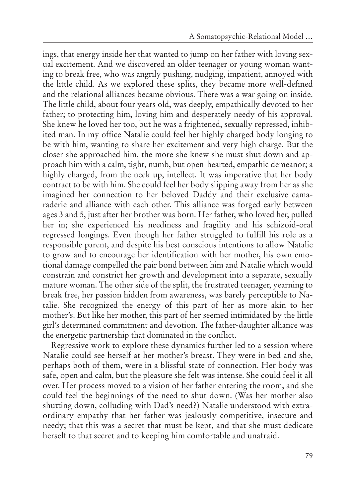ings, that energy inside her that wanted to jump on her father with loving sexual excitement. And we discovered an older teenager or young woman wanting to break free, who was angrily pushing, nudging, impatient, annoyed with the little child. As we explored these splits, they became more well-defined and the relational alliances became obvious. There was a war going on inside. The little child, about four years old, was deeply, empathically devoted to her father; to protecting him, loving him and desperately needy of his approval. She knew he loved her too, but he was a frightened, sexually repressed, inhibited man. In my office Natalie could feel her highly charged body longing to be with him, wanting to share her excitement and very high charge. But the closer she approached him, the more she knew she must shut down and approach him with a calm, tight, numb, but open-hearted, empathic demeanor; a highly charged, from the neck up, intellect. It was imperative that her body contract to be with him. She could feel her body slipping away from her as she imagined her connection to her beloved Daddy and their exclusive camaraderie and alliance with each other. This alliance was forged early between ages 3 and 5, just after her brother was born. Her father, who loved her, pulled her in; she experienced his neediness and fragility and his schizoid-oral regressed longings. Even though her father struggled to fulfill his role as a responsible parent, and despite his best conscious intentions to allow Natalie to grow and to encourage her identification with her mother, his own emotional damage compelled the pair bond between him and Natalie which would constrain and constrict her growth and development into a separate, sexually mature woman. The other side of the split, the frustrated teenager, yearning to break free, her passion hidden from awareness, was barely perceptible to Natalie. She recognized the energy of this part of her as more akin to her mother's. But like her mother, this part of her seemed intimidated by the little girl's determined commitment and devotion. The father-daughter alliance was the energetic partnership that dominated in the conflict.

Regressive work to explore these dynamics further led to a session where Natalie could see herself at her mother's breast. They were in bed and she, perhaps both of them, were in a blissful state of connection. Her body was safe, open and calm, but the pleasure she felt was intense. She could feel it all over. Her process moved to a vision of her father entering the room, and she could feel the beginnings of the need to shut down. (Was her mother also shutting down, colluding with Dad's need?) Natalie understood with extraordinary empathy that her father was jealously competitive, insecure and needy; that this was a secret that must be kept, and that she must dedicate herself to that secret and to keeping him comfortable and unafraid.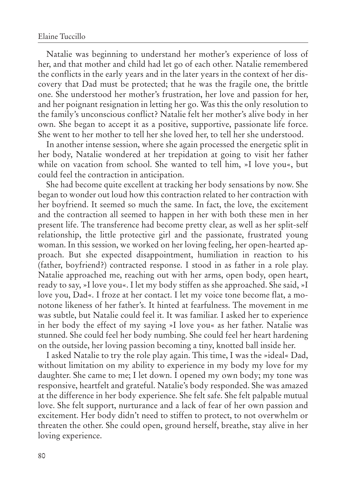Natalie was beginning to understand her mother's experience of loss of her, and that mother and child had let go of each other. Natalie remembered the conflicts in the early years and in the later years in the context of her discovery that Dad must be protected; that he was the fragile one, the brittle one. She understood her mother's frustration, her love and passion for her, and her poignant resignation in letting her go. Was this the only resolution to the family's unconscious conflict? Natalie felt her mother's alive body in her own. She began to accept it as a positive, supportive, passionate life force. She went to her mother to tell her she loved her, to tell her she understood.

In another intense session, where she again processed the energetic split in her body, Natalie wondered at her trepidation at going to visit her father while on vacation from school. She wanted to tell him, »I love you«, but could feel the contraction in anticipation.

She had become quite excellent at tracking her body sensations by now. She began to wonder out loud how this contraction related to her contraction with her boyfriend. It seemed so much the same. In fact, the love, the excitement and the contraction all seemed to happen in her with both these men in her present life. The transference had become pretty clear, as well as her split-self relationship, the little protective girl and the passionate, frustrated young woman. In this session, we worked on her loving feeling, her open-hearted approach. But she expected disappointment, humiliation in reaction to his (father, boyfriend?) contracted response. I stood in as father in a role play. Natalie approached me, reaching out with her arms, open body, open heart, ready to say, »I love you«. I let my body stiffen as she approached. She said, »I love you, Dad«. I froze at her contact. I let my voice tone become flat, a monotone likeness of her father's. It hinted at fearfulness. The movement in me was subtle, but Natalie could feel it. It was familiar. I asked her to experience in her body the effect of my saying »I love you« as her father. Natalie was stunned. She could feel her body numbing. She could feel her heart hardening on the outside, her loving passion becoming a tiny, knotted ball inside her.

I asked Natalie to try the role play again. This time, I was the »ideal« Dad, without limitation on my ability to experience in my body my love for my daughter. She came to me; I let down. I opened my own body; my tone was responsive, heartfelt and grateful. Natalie's body responded. She was amazed at the difference in her body experience. She felt safe. She felt palpable mutual love. She felt support, nurturance and a lack of fear of her own passion and excitement. Her body didn't need to stiffen to protect, to not overwhelm or threaten the other. She could open, ground herself, breathe, stay alive in her loving experience.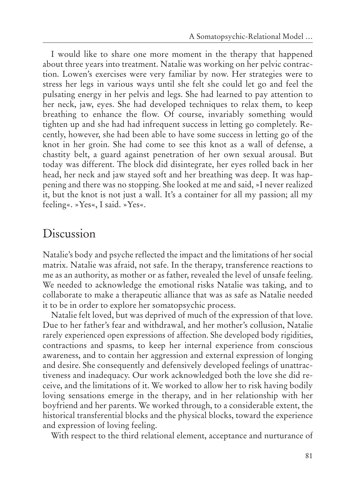I would like to share one more moment in the therapy that happened about three years into treatment. Natalie was working on her pelvic contraction. Lowen's exercises were very familiar by now. Her strategies were to stress her legs in various ways until she felt she could let go and feel the pulsating energy in her pelvis and legs. She had learned to pay attention to her neck, jaw, eyes. She had developed techniques to relax them, to keep breathing to enhance the flow. Of course, invariably something would tighten up and she had had infrequent success in letting go completely. Recently, however, she had been able to have some success in letting go of the knot in her groin. She had come to see this knot as a wall of defense, a chastity belt, a guard against penetration of her own sexual arousal. But today was different. The block did disintegrate, her eyes rolled back in her head, her neck and jaw stayed soft and her breathing was deep. It was happening and there was no stopping. She looked at me and said, »I never realized it, but the knot is not just a wall. It's a container for all my passion; all my feeling«. »Yes«, I said. »Yes«.

# Discussion

Natalie's body and psyche reflected the impact and the limitations of her social matrix. Natalie was afraid, not safe. In the therapy, transference reactions to me as an authority, as mother or as father, revealed the level of unsafe feeling. We needed to acknowledge the emotional risks Natalie was taking, and to collaborate to make a therapeutic alliance that was as safe as Natalie needed it to be in order to explore her somatopsychic process.

Natalie felt loved, but was deprived of much of the expression of that love. Due to her father's fear and withdrawal, and her mother's collusion, Natalie rarely experienced open expressions of affection. She developed body rigidities, contractions and spasms, to keep her internal experience from conscious awareness, and to contain her aggression and external expression of longing and desire. She consequently and defensively developed feelings of unattractiveness and inadequacy. Our work acknowledged both the love she did receive, and the limitations of it. We worked to allow her to risk having bodily loving sensations emerge in the therapy, and in her relationship with her boyfriend and her parents. We worked through, to a considerable extent, the historical transferential blocks and the physical blocks, toward the experience and expression of loving feeling.

With respect to the third relational element, acceptance and nurturance of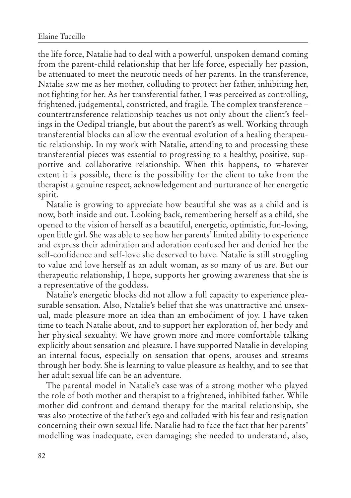the life force, Natalie had to deal with a powerful, unspoken demand coming from the parent-child relationship that her life force, especially her passion, be attenuated to meet the neurotic needs of her parents. In the transference, Natalie saw me as her mother, colluding to protect her father, inhibiting her, not fighting for her. As her transferential father, I was perceived as controlling, frightened, judgemental, constricted, and fragile. The complex transference – countertransference relationship teaches us not only about the client's feelings in the Oedipal triangle, but about the parent's as well. Working through transferential blocks can allow the eventual evolution of a healing therapeutic relationship. In my work with Natalie, attending to and processing these transferential pieces was essential to progressing to a healthy, positive, supportive and collaborative relationship. When this happens, to whatever extent it is possible, there is the possibility for the client to take from the therapist a genuine respect, acknowledgement and nurturance of her energetic spirit.

Natalie is growing to appreciate how beautiful she was as a child and is now, both inside and out. Looking back, remembering herself as a child, she opened to the vision of herself as a beautiful, energetic, optimistic, fun-loving, open little girl. She was able to see how her parents' limited ability to experience and express their admiration and adoration confused her and denied her the self-confidence and self-love she deserved to have. Natalie is still struggling to value and love herself as an adult woman, as so many of us are. But our therapeutic relationship, I hope, supports her growing awareness that she is a representative of the goddess.

Natalie's energetic blocks did not allow a full capacity to experience pleasurable sensation. Also, Natalie's belief that she was unattractive and unsexual, made pleasure more an idea than an embodiment of joy. I have taken time to teach Natalie about, and to support her exploration of, her body and her physical sexuality. We have grown more and more comfortable talking explicitly about sensation and pleasure. I have supported Natalie in developing an internal focus, especially on sensation that opens, arouses and streams through her body. She is learning to value pleasure as healthy, and to see that her adult sexual life can be an adventure.

The parental model in Natalie's case was of a strong mother who played the role of both mother and therapist to a frightened, inhibited father. While mother did confront and demand therapy for the marital relationship, she was also protective of the father's ego and colluded with his fear and resignation concerning their own sexual life. Natalie had to face the fact that her parents' modelling was inadequate, even damaging; she needed to understand, also,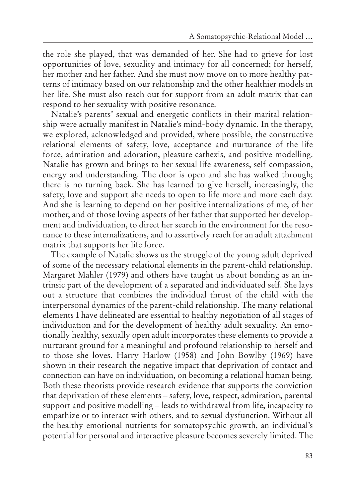the role she played, that was demanded of her. She had to grieve for lost opportunities of love, sexuality and intimacy for all concerned; for herself, her mother and her father. And she must now move on to more healthy patterns of intimacy based on our relationship and the other healthier models in her life. She must also reach out for support from an adult matrix that can respond to her sexuality with positive resonance.

Natalie's parents' sexual and energetic conflicts in their marital relationship were actually manifest in Natalie's mind-body dynamic. In the therapy, we explored, acknowledged and provided, where possible, the constructive relational elements of safety, love, acceptance and nurturance of the life force, admiration and adoration, pleasure cathexis, and positive modelling. Natalie has grown and brings to her sexual life awareness, self-compassion, energy and understanding. The door is open and she has walked through; there is no turning back. She has learned to give herself, increasingly, the safety, love and support she needs to open to life more and more each day. And she is learning to depend on her positive internalizations of me, of her mother, and of those loving aspects of her father that supported her development and individuation, to direct her search in the environment for the resonance to these internalizations, and to assertively reach for an adult attachment matrix that supports her life force.

The example of Natalie shows us the struggle of the young adult deprived of some of the necessary relational elements in the parent-child relationship. Margaret Mahler (1979) and others have taught us about bonding as an intrinsic part of the development of a separated and individuated self. She lays out a structure that combines the individual thrust of the child with the interpersonal dynamics of the parent-child relationship. The many relational elements I have delineated are essential to healthy negotiation of all stages of individuation and for the development of healthy adult sexuality. An emotionally healthy, sexually open adult incorporates these elements to provide a nurturant ground for a meaningful and profound relationship to herself and to those she loves. Harry Harlow (1958) and John Bowlby (1969) have shown in their research the negative impact that deprivation of contact and connection can have on individuation, on becoming a relational human being. Both these theorists provide research evidence that supports the conviction that deprivation of these elements – safety, love, respect, admiration, parental support and positive modelling – leads to withdrawal from life, incapacity to empathize or to interact with others, and to sexual dysfunction. Without all the healthy emotional nutrients for somatopsychic growth, an individual's potential for personal and interactive pleasure becomes severely limited. The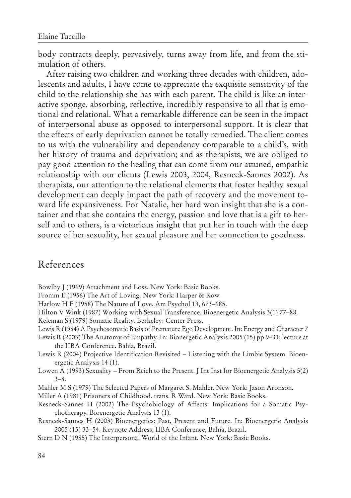body contracts deeply, pervasively, turns away from life, and from the stimulation of others.

After raising two children and working three decades with children, adolescents and adults, I have come to appreciate the exquisite sensitivity of the child to the relationship she has with each parent. The child is like an interactive sponge, absorbing, reflective, incredibly responsive to all that is emotional and relational. What a remarkable difference can be seen in the impact of interpersonal abuse as opposed to interpersonal support. It is clear that the effects of early deprivation cannot be totally remedied. The client comes to us with the vulnerability and dependency comparable to a child's, with her history of trauma and deprivation; and as therapists, we are obliged to pay good attention to the healing that can come from our attuned, empathic relationship with our clients (Lewis 2003, 2004, Resneck-Sannes 2002). As therapists, our attention to the relational elements that foster healthy sexual development can deeply impact the path of recovery and the movement toward life expansiveness. For Natalie, her hard won insight that she is a container and that she contains the energy, passion and love that is a gift to herself and to others, is a victorious insight that put her in touch with the deep source of her sexuality, her sexual pleasure and her connection to goodness.

### References

Bowlby J (1969) Attachment and Loss. New York: Basic Books.

- Fromm E (1956) The Art of Loving. New York: Harper & Row.
- Harlow H F (1958) The Nature of Love. Am Psychol 13, 673–685.
- Hilton V Wink (1987) Working with Sexual Transference. Bioenergetic Analysis 3(1) 77–88.
- Keleman S (1979) Somatic Reality. Berkeley: Center Press.
- Lewis R (1984) A Psychosomatic Basis of Premature Ego Development. In: Energy and Character 7
- Lewis R (2003) The Anatomy of Empathy. In: Bionergetic Analysis 2005 (15) pp 9–31; lecture at the IIBA Conference. Bahia, Brazil.
- Lewis R (2004) Projective Identification Revisited Listening with the Limbic System. Bioenergetic Analysis 14 (1).
- Lowen A (1993) Sexuality From Reich to the Present. J Int Inst for Bioenergetic Analysis 5(2) 3–8.
- Mahler M S (1979) The Selected Papers of Margaret S. Mahler. New York: Jason Aronson.
- Miller A (1981) Prisoners of Childhood. trans. R Ward. New York: Basic Books.
- Resneck-Sannes H (2002) The Psychobiology of Affects: Implications for a Somatic Psychotherapy. Bioenergetic Analysis 13 (1).
- Resneck-Sannes H (2003) Bioenergetics: Past, Present and Future. In: Bioenergetic Analysis 2005 (15) 33–54. Keynote Address, IIBA Conference, Bahia, Brazil.
- Stern D N (1985) The Interpersonal World of the Infant. New York: Basic Books.